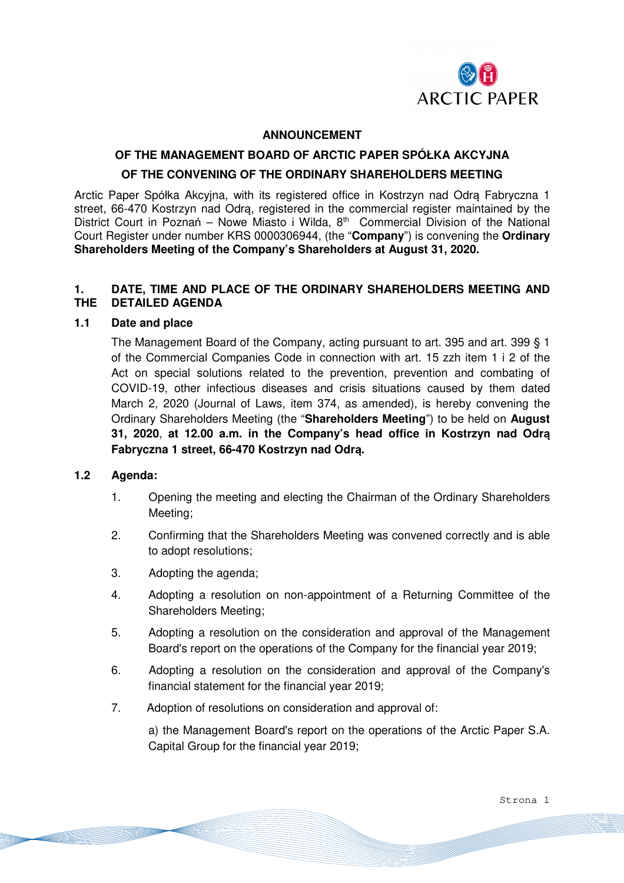

#### **ANNOUNCEMENT**

## **OF THE MANAGEMENT BOARD OF ARCTIC PAPER SPÓŁKA AKCYJNA**

## **OF THE CONVENING OF THE ORDINARY SHAREHOLDERS MEETING**

Arctic Paper Spółka Akcyjna, with its registered office in Kostrzyn nad Odrą Fabryczna 1 street, 66-470 Kostrzyn nad Odra, registered in the commercial register maintained by the District Court in Poznań – Nowe Miasto i Wilda,  $8<sup>th</sup>$  Commercial Division of the National Court Register under number KRS 0000306944, (the "**Company**") is convening the **Ordinary Shareholders Meeting of the Company's Shareholders at August 31, 2020.**

# **1. DATE, TIME AND PLACE OF THE ORDINARY SHAREHOLDERS MEETING AND THE DETAILED AGENDA**

#### **1.1 Date and place**

The Management Board of the Company, acting pursuant to art. 395 and art. 399 § 1 of the Commercial Companies Code in connection with art. 15 zzh item 1 i 2 of the Act on special solutions related to the prevention, prevention and combating of COVID-19, other infectious diseases and crisis situations caused by them dated March 2, 2020 (Journal of Laws, item 374, as amended), is hereby convening the Ordinary Shareholders Meeting (the "**Shareholders Meeting**") to be held on **August 31, 2020**, **at 12.00 a.m. in the Company's head office in Kostrzyn nad Odrą Fabryczna 1 street, 66-470 Kostrzyn nad Odrą.** 

## **1.2 Agenda:**

- 1. Opening the meeting and electing the Chairman of the Ordinary Shareholders Meeting;
- 2. Confirming that the Shareholders Meeting was convened correctly and is able to adopt resolutions;
- 3. Adopting the agenda;
- 4. Adopting a resolution on non-appointment of a Returning Committee of the Shareholders Meeting;
- 5. Adopting a resolution on the consideration and approval of the Management Board's report on the operations of the Company for the financial year 2019;
- 6. Adopting a resolution on the consideration and approval of the Company's financial statement for the financial year 2019;
- 7. Adoption of resolutions on consideration and approval of:

a) the Management Board's report on the operations of the Arctic Paper S.A. Capital Group for the financial year 2019;

Strona 1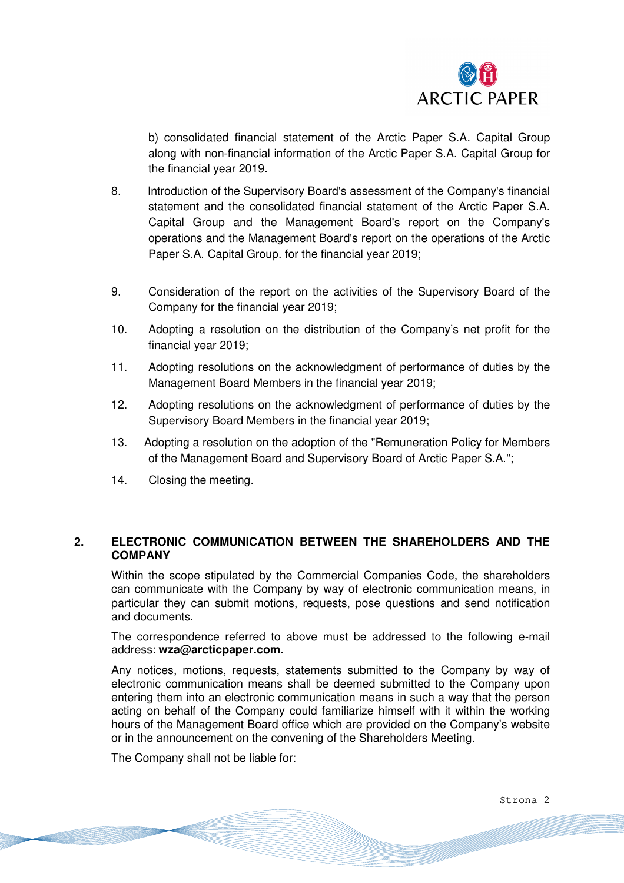

b) consolidated financial statement of the Arctic Paper S.A. Capital Group along with non-financial information of the Arctic Paper S.A. Capital Group for the financial year 2019.

- 8. Introduction of the Supervisory Board's assessment of the Company's financial statement and the consolidated financial statement of the Arctic Paper S.A. Capital Group and the Management Board's report on the Company's operations and the Management Board's report on the operations of the Arctic Paper S.A. Capital Group. for the financial year 2019;
- 9. Consideration of the report on the activities of the Supervisory Board of the Company for the financial year 2019;
- 10. Adopting a resolution on the distribution of the Company's net profit for the financial year 2019;
- 11. Adopting resolutions on the acknowledgment of performance of duties by the Management Board Members in the financial year 2019;
- 12. Adopting resolutions on the acknowledgment of performance of duties by the Supervisory Board Members in the financial year 2019;
- 13. Adopting a resolution on the adoption of the "Remuneration Policy for Members of the Management Board and Supervisory Board of Arctic Paper S.A.";
- 14. Closing the meeting.

# **2. ELECTRONIC COMMUNICATION BETWEEN THE SHAREHOLDERS AND THE COMPANY**

Within the scope stipulated by the Commercial Companies Code, the shareholders can communicate with the Company by way of electronic communication means, in particular they can submit motions, requests, pose questions and send notification and documents.

The correspondence referred to above must be addressed to the following e-mail address: **wza@arcticpaper.com**.

Any notices, motions, requests, statements submitted to the Company by way of electronic communication means shall be deemed submitted to the Company upon entering them into an electronic communication means in such a way that the person acting on behalf of the Company could familiarize himself with it within the working hours of the Management Board office which are provided on the Company's website or in the announcement on the convening of the Shareholders Meeting.

The Company shall not be liable for:

Strona 2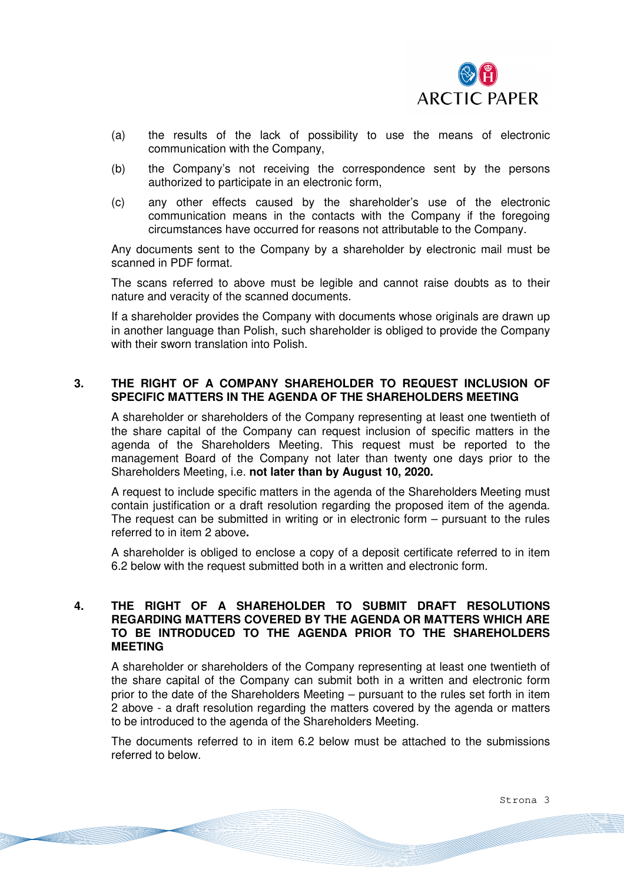

- (a) the results of the lack of possibility to use the means of electronic communication with the Company,
- (b) the Company's not receiving the correspondence sent by the persons authorized to participate in an electronic form,
- (c) any other effects caused by the shareholder's use of the electronic communication means in the contacts with the Company if the foregoing circumstances have occurred for reasons not attributable to the Company.

Any documents sent to the Company by a shareholder by electronic mail must be scanned in PDF format.

The scans referred to above must be legible and cannot raise doubts as to their nature and veracity of the scanned documents.

If a shareholder provides the Company with documents whose originals are drawn up in another language than Polish, such shareholder is obliged to provide the Company with their sworn translation into Polish.

# **3. THE RIGHT OF A COMPANY SHAREHOLDER TO REQUEST INCLUSION OF SPECIFIC MATTERS IN THE AGENDA OF THE SHAREHOLDERS MEETING**

A shareholder or shareholders of the Company representing at least one twentieth of the share capital of the Company can request inclusion of specific matters in the agenda of the Shareholders Meeting. This request must be reported to the management Board of the Company not later than twenty one days prior to the Shareholders Meeting, i.e. **not later than by August 10, 2020.** 

A request to include specific matters in the agenda of the Shareholders Meeting must contain justification or a draft resolution regarding the proposed item of the agenda. The request can be submitted in writing or in electronic form – pursuant to the rules referred to in item 2 above**.**

A shareholder is obliged to enclose a copy of a deposit certificate referred to in item 6.2 below with the request submitted both in a written and electronic form.

# **4. THE RIGHT OF A SHAREHOLDER TO SUBMIT DRAFT RESOLUTIONS REGARDING MATTERS COVERED BY THE AGENDA OR MATTERS WHICH ARE TO BE INTRODUCED TO THE AGENDA PRIOR TO THE SHAREHOLDERS MEETING**

A shareholder or shareholders of the Company representing at least one twentieth of the share capital of the Company can submit both in a written and electronic form prior to the date of the Shareholders Meeting – pursuant to the rules set forth in item 2 above - a draft resolution regarding the matters covered by the agenda or matters to be introduced to the agenda of the Shareholders Meeting.

The documents referred to in item 6.2 below must be attached to the submissions referred to below.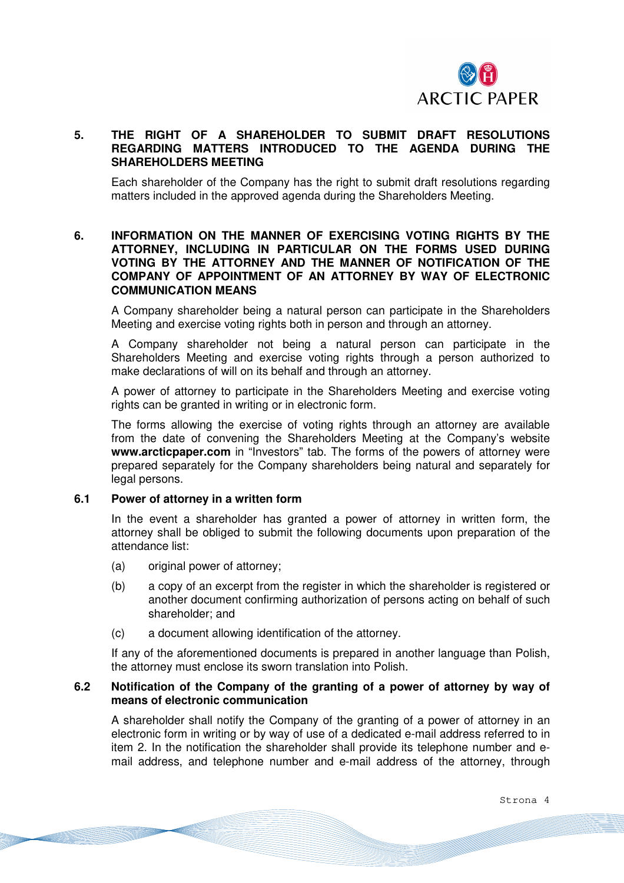

# **5. THE RIGHT OF A SHAREHOLDER TO SUBMIT DRAFT RESOLUTIONS REGARDING MATTERS INTRODUCED TO THE AGENDA DURING THE SHAREHOLDERS MEETING**

Each shareholder of the Company has the right to submit draft resolutions regarding matters included in the approved agenda during the Shareholders Meeting.

# **6. INFORMATION ON THE MANNER OF EXERCISING VOTING RIGHTS BY THE ATTORNEY, INCLUDING IN PARTICULAR ON THE FORMS USED DURING VOTING BY THE ATTORNEY AND THE MANNER OF NOTIFICATION OF THE COMPANY OF APPOINTMENT OF AN ATTORNEY BY WAY OF ELECTRONIC COMMUNICATION MEANS**

A Company shareholder being a natural person can participate in the Shareholders Meeting and exercise voting rights both in person and through an attorney.

A Company shareholder not being a natural person can participate in the Shareholders Meeting and exercise voting rights through a person authorized to make declarations of will on its behalf and through an attorney.

A power of attorney to participate in the Shareholders Meeting and exercise voting rights can be granted in writing or in electronic form.

The forms allowing the exercise of voting rights through an attorney are available from the date of convening the Shareholders Meeting at the Company's website **www.arcticpaper.com** in "Investors" tab. The forms of the powers of attorney were prepared separately for the Company shareholders being natural and separately for legal persons.

#### **6.1 Power of attorney in a written form**

In the event a shareholder has granted a power of attorney in written form, the attorney shall be obliged to submit the following documents upon preparation of the attendance list:

- (a) original power of attorney;
- (b) a copy of an excerpt from the register in which the shareholder is registered or another document confirming authorization of persons acting on behalf of such shareholder; and
- (c) a document allowing identification of the attorney.

If any of the aforementioned documents is prepared in another language than Polish, the attorney must enclose its sworn translation into Polish.

#### **6.2 Notification of the Company of the granting of a power of attorney by way of means of electronic communication**

A shareholder shall notify the Company of the granting of a power of attorney in an electronic form in writing or by way of use of a dedicated e-mail address referred to in item 2. In the notification the shareholder shall provide its telephone number and email address, and telephone number and e-mail address of the attorney, through

Strona 4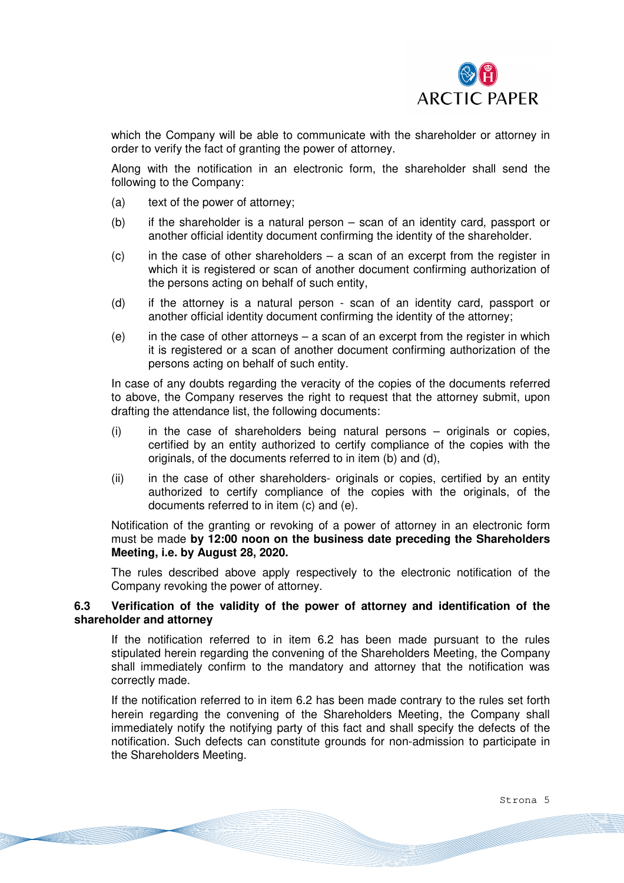

which the Company will be able to communicate with the shareholder or attorney in order to verify the fact of granting the power of attorney.

Along with the notification in an electronic form, the shareholder shall send the following to the Company:

- (a) text of the power of attorney;
- (b) if the shareholder is a natural person scan of an identity card, passport or another official identity document confirming the identity of the shareholder.
- $(c)$  in the case of other shareholders a scan of an excerpt from the register in which it is registered or scan of another document confirming authorization of the persons acting on behalf of such entity,
- (d) if the attorney is a natural person scan of an identity card, passport or another official identity document confirming the identity of the attorney;
- (e) in the case of other attorneys a scan of an excerpt from the register in which it is registered or a scan of another document confirming authorization of the persons acting on behalf of such entity.

In case of any doubts regarding the veracity of the copies of the documents referred to above, the Company reserves the right to request that the attorney submit, upon drafting the attendance list, the following documents:

- $(i)$  in the case of shareholders being natural persons originals or copies, certified by an entity authorized to certify compliance of the copies with the originals, of the documents referred to in item (b) and (d),
- (ii) in the case of other shareholders- originals or copies, certified by an entity authorized to certify compliance of the copies with the originals, of the documents referred to in item (c) and (e).

Notification of the granting or revoking of a power of attorney in an electronic form must be made **by 12:00 noon on the business date preceding the Shareholders Meeting, i.e. by August 28, 2020.**

The rules described above apply respectively to the electronic notification of the Company revoking the power of attorney.

## **6.3 Verification of the validity of the power of attorney and identification of the shareholder and attorney**

If the notification referred to in item 6.2 has been made pursuant to the rules stipulated herein regarding the convening of the Shareholders Meeting, the Company shall immediately confirm to the mandatory and attorney that the notification was correctly made.

If the notification referred to in item 6.2 has been made contrary to the rules set forth herein regarding the convening of the Shareholders Meeting, the Company shall immediately notify the notifying party of this fact and shall specify the defects of the notification. Such defects can constitute grounds for non-admission to participate in the Shareholders Meeting.

Strona 5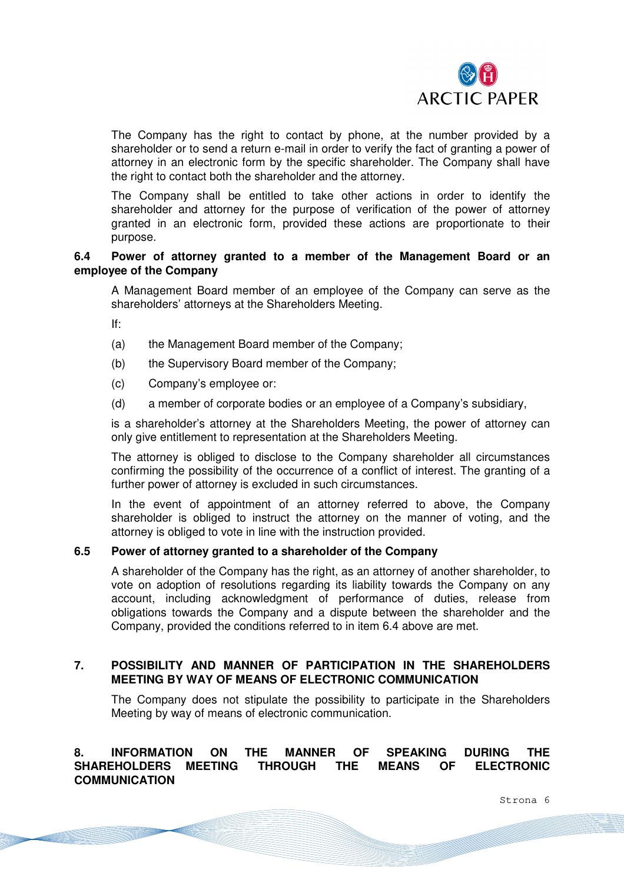

The Company has the right to contact by phone, at the number provided by a shareholder or to send a return e-mail in order to verify the fact of granting a power of attorney in an electronic form by the specific shareholder. The Company shall have the right to contact both the shareholder and the attorney.

The Company shall be entitled to take other actions in order to identify the shareholder and attorney for the purpose of verification of the power of attorney granted in an electronic form, provided these actions are proportionate to their purpose.

## **6.4 Power of attorney granted to a member of the Management Board or an employee of the Company**

A Management Board member of an employee of the Company can serve as the shareholders' attorneys at the Shareholders Meeting.

If:

- (a) the Management Board member of the Company;
- (b) the Supervisory Board member of the Company;
- (c) Company's employee or:
- (d) a member of corporate bodies or an employee of a Company's subsidiary,

is a shareholder's attorney at the Shareholders Meeting, the power of attorney can only give entitlement to representation at the Shareholders Meeting.

The attorney is obliged to disclose to the Company shareholder all circumstances confirming the possibility of the occurrence of a conflict of interest. The granting of a further power of attorney is excluded in such circumstances.

In the event of appointment of an attorney referred to above, the Company shareholder is obliged to instruct the attorney on the manner of voting, and the attorney is obliged to vote in line with the instruction provided.

#### **6.5 Power of attorney granted to a shareholder of the Company**

A shareholder of the Company has the right, as an attorney of another shareholder, to vote on adoption of resolutions regarding its liability towards the Company on any account, including acknowledgment of performance of duties, release from obligations towards the Company and a dispute between the shareholder and the Company, provided the conditions referred to in item 6.4 above are met.

## **7. POSSIBILITY AND MANNER OF PARTICIPATION IN THE SHAREHOLDERS MEETING BY WAY OF MEANS OF ELECTRONIC COMMUNICATION**

The Company does not stipulate the possibility to participate in the Shareholders Meeting by way of means of electronic communication.

# **8. INFORMATION ON THE MANNER OF SPEAKING DURING THE SHAREHOLDERS MEETING THROUGH THE MEANS OF ELECTRONIC COMMUNICATION**

Strona 6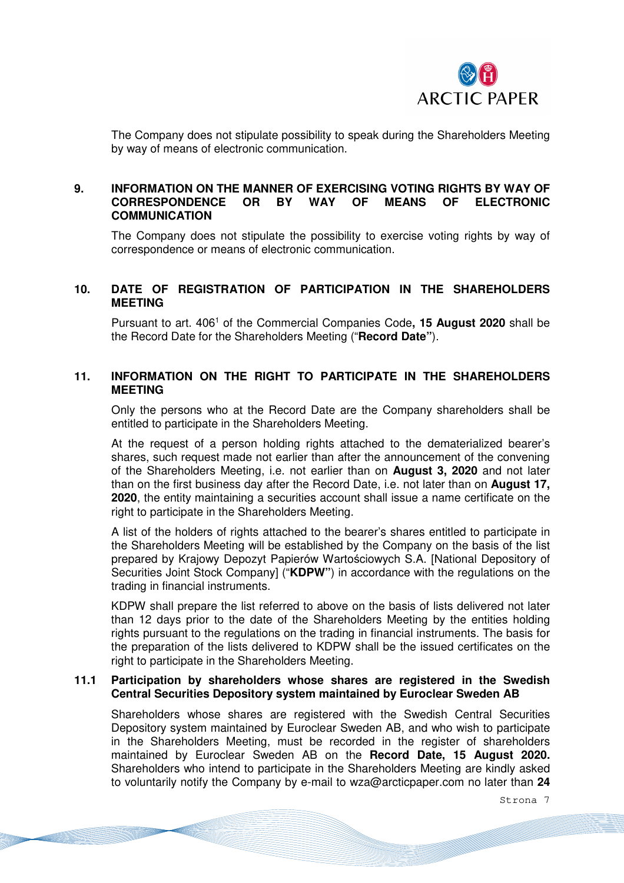

The Company does not stipulate possibility to speak during the Shareholders Meeting by way of means of electronic communication.

## **9. INFORMATION ON THE MANNER OF EXERCISING VOTING RIGHTS BY WAY OF CORRESPONDENCE OR BY WAY OF MEANS OF ELECTRONIC COMMUNICATION**

The Company does not stipulate the possibility to exercise voting rights by way of correspondence or means of electronic communication.

# **10. DATE OF REGISTRATION OF PARTICIPATION IN THE SHAREHOLDERS MEETING**

Pursuant to art. 406<sup>1</sup> of the Commercial Companies Code, 15 August 2020 shall be the Record Date for the Shareholders Meeting ("**Record Date"**).

# **11. INFORMATION ON THE RIGHT TO PARTICIPATE IN THE SHAREHOLDERS MEETING**

Only the persons who at the Record Date are the Company shareholders shall be entitled to participate in the Shareholders Meeting.

At the request of a person holding rights attached to the dematerialized bearer's shares, such request made not earlier than after the announcement of the convening of the Shareholders Meeting, i.e. not earlier than on **August 3, 2020** and not later than on the first business day after the Record Date, i.e. not later than on **August 17, 2020**, the entity maintaining a securities account shall issue a name certificate on the right to participate in the Shareholders Meeting.

A list of the holders of rights attached to the bearer's shares entitled to participate in the Shareholders Meeting will be established by the Company on the basis of the list prepared by Krajowy Depozyt Papierów Wartościowych S.A. [National Depository of Securities Joint Stock Company] ("**KDPW"**) in accordance with the regulations on the trading in financial instruments.

KDPW shall prepare the list referred to above on the basis of lists delivered not later than 12 days prior to the date of the Shareholders Meeting by the entities holding rights pursuant to the regulations on the trading in financial instruments. The basis for the preparation of the lists delivered to KDPW shall be the issued certificates on the right to participate in the Shareholders Meeting.

## **11.1 Participation by shareholders whose shares are registered in the Swedish Central Securities Depository system maintained by Euroclear Sweden AB**

Shareholders whose shares are registered with the Swedish Central Securities Depository system maintained by Euroclear Sweden AB, and who wish to participate in the Shareholders Meeting, must be recorded in the register of shareholders maintained by Euroclear Sweden AB on the **Record Date, 15 August 2020.** Shareholders who intend to participate in the Shareholders Meeting are kindly asked to voluntarily notify the Company by e-mail to wza@arcticpaper.com no later than **24** 

Strona 7